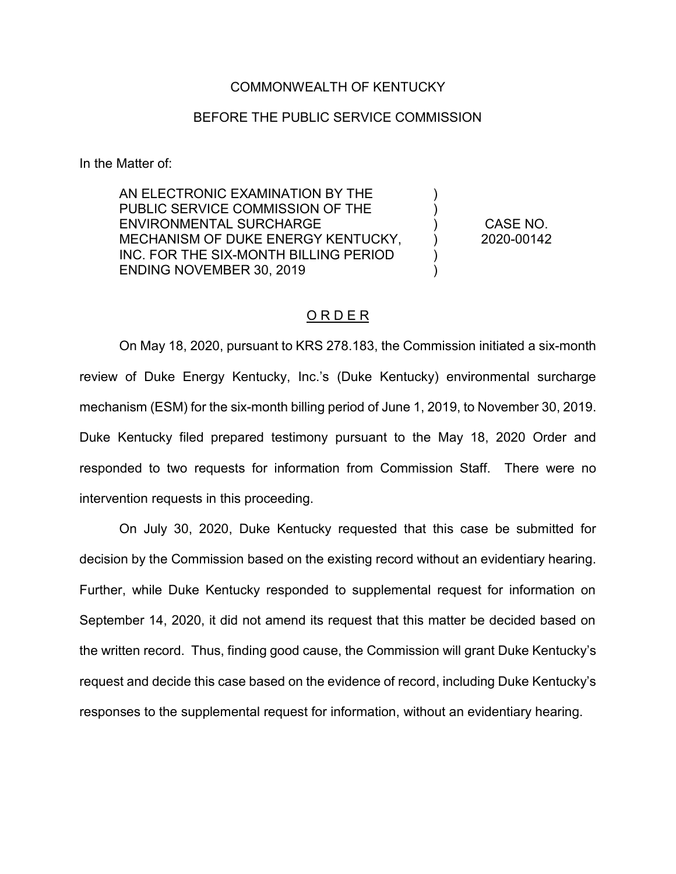## COMMONWEALTH OF KENTUCKY

## BEFORE THE PUBLIC SERVICE COMMISSION

In the Matter of:

AN ELECTRONIC EXAMINATION BY THE PUBLIC SERVICE COMMISSION OF THE ENVIRONMENTAL SURCHARGE MECHANISM OF DUKE ENERGY KENTUCKY, INC. FOR THE SIX-MONTH BILLING PERIOD ENDING NOVEMBER 30, 2019

CASE NO. 2020-00142

 $\lambda$ ) )  $\lambda$ ) )

# O R D E R

On May 18, 2020, pursuant to KRS 278.183, the Commission initiated a six-month review of Duke Energy Kentucky, Inc.'s (Duke Kentucky) environmental surcharge mechanism (ESM) for the six-month billing period of June 1, 2019, to November 30, 2019. Duke Kentucky filed prepared testimony pursuant to the May 18, 2020 Order and responded to two requests for information from Commission Staff. There were no intervention requests in this proceeding.

On July 30, 2020, Duke Kentucky requested that this case be submitted for decision by the Commission based on the existing record without an evidentiary hearing. Further, while Duke Kentucky responded to supplemental request for information on September 14, 2020, it did not amend its request that this matter be decided based on the written record. Thus, finding good cause, the Commission will grant Duke Kentucky's request and decide this case based on the evidence of record, including Duke Kentucky's responses to the supplemental request for information, without an evidentiary hearing.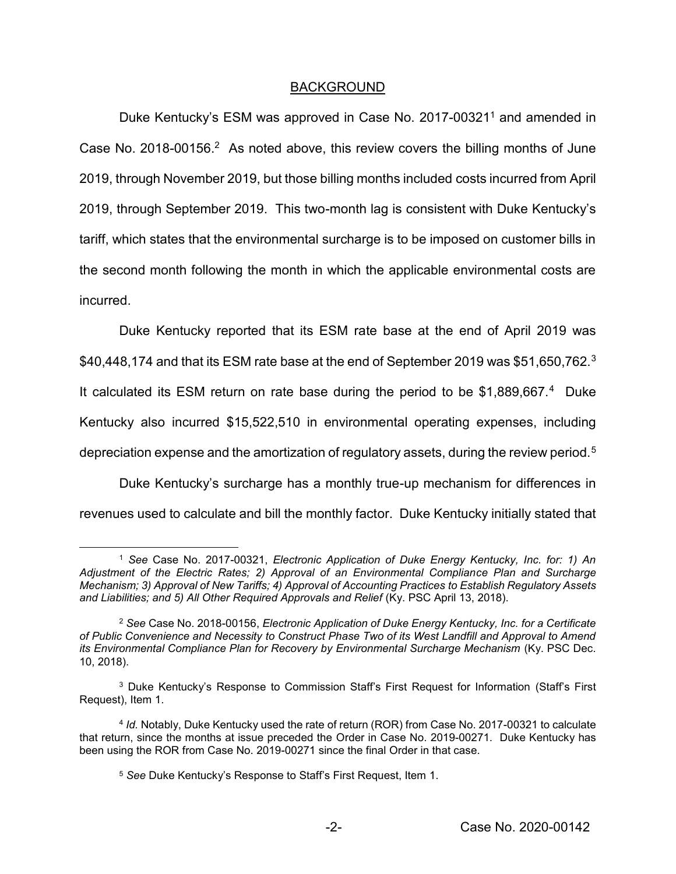## BACKGROUND

Duke Kentucky's ESM was approved in Case No. 2017-00321<sup>1</sup> and amended in Case No. 2018-00156.<sup>2</sup> As noted above, this review covers the billing months of June 2019, through November 2019, but those billing months included costs incurred from April 2019, through September 2019. This two-month lag is consistent with Duke Kentucky's tariff, which states that the environmental surcharge is to be imposed on customer bills in the second month following the month in which the applicable environmental costs are incurred.

Duke Kentucky reported that its ESM rate base at the end of April 2019 was \$40,448,174 and that its ESM rate base at the end of September 2019 was \$51,650,762.<sup>3</sup> It calculated its ESM return on rate base during the period to be \$1,889,667.<sup>4</sup> Duke Kentucky also incurred \$15,522,510 in environmental operating expenses, including depreciation expense and the amortization of regulatory assets, during the review period.<sup>5</sup>

Duke Kentucky's surcharge has a monthly true-up mechanism for differences in revenues used to calculate and bill the monthly factor. Duke Kentucky initially stated that

 <sup>1</sup> *See* Case No. 2017-00321, *Electronic Application of Duke Energy Kentucky, Inc. for: 1) An Adjustment of the Electric Rates; 2) Approval of an Environmental Compliance Plan and Surcharge Mechanism; 3) Approval of New Tariffs; 4) Approval of Accounting Practices to Establish Regulatory Assets and Liabilities; and 5) All Other Required Approvals and Relief* (Ky. PSC April 13, 2018).

<sup>2</sup> *See* Case No. 2018-00156, *Electronic Application of Duke Energy Kentucky, Inc. for a Certificate of Public Convenience and Necessity to Construct Phase Two of its West Landfill and Approval to Amend its Environmental Compliance Plan for Recovery by Environmental Surcharge Mechanism* (Ky. PSC Dec. 10, 2018).

<sup>3</sup> Duke Kentucky's Response to Commission Staff's First Request for Information (Staff's First Request), Item 1.

<sup>4</sup> *Id.* Notably, Duke Kentucky used the rate of return (ROR) from Case No. 2017-00321 to calculate that return, since the months at issue preceded the Order in Case No. 2019-00271. Duke Kentucky has been using the ROR from Case No. 2019-00271 since the final Order in that case.

<sup>5</sup> *See* Duke Kentucky's Response to Staff's First Request, Item 1.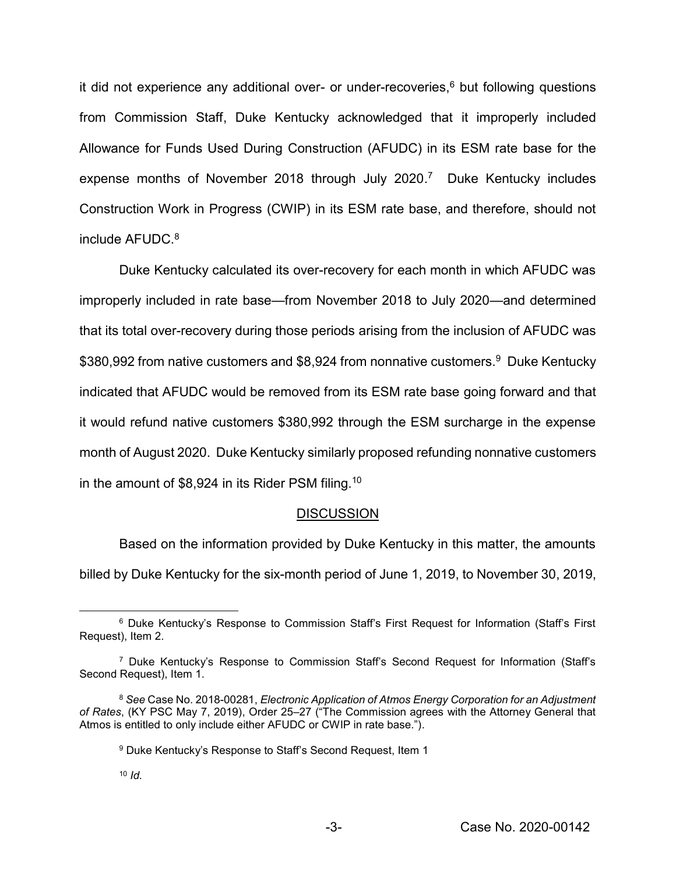it did not experience any additional over- or under-recoveries,<sup>6</sup> but following questions from Commission Staff, Duke Kentucky acknowledged that it improperly included Allowance for Funds Used During Construction (AFUDC) in its ESM rate base for the expense months of November 2018 through July 2020.<sup>7</sup> Duke Kentucky includes Construction Work in Progress (CWIP) in its ESM rate base, and therefore, should not include  $AFUDC<sup>8</sup>$ 

Duke Kentucky calculated its over-recovery for each month in which AFUDC was improperly included in rate base—from November 2018 to July 2020—and determined that its total over-recovery during those periods arising from the inclusion of AFUDC was \$380,992 from native customers and \$8,924 from nonnative customers.<sup>9</sup> Duke Kentucky indicated that AFUDC would be removed from its ESM rate base going forward and that it would refund native customers \$380,992 through the ESM surcharge in the expense month of August 2020. Duke Kentucky similarly proposed refunding nonnative customers in the amount of \$8,924 in its Rider PSM filing.10

#### **DISCUSSION**

Based on the information provided by Duke Kentucky in this matter, the amounts billed by Duke Kentucky for the six-month period of June 1, 2019, to November 30, 2019,

 <sup>6</sup> Duke Kentucky's Response to Commission Staff's First Request for Information (Staff's First Request), Item 2.

<sup>7</sup> Duke Kentucky's Response to Commission Staff's Second Request for Information (Staff's Second Request), Item 1.

<sup>8</sup> *See* Case No. 2018-00281, *Electronic Application of Atmos Energy Corporation for an Adjustment of Rates*, (KY PSC May 7, 2019), Order 25–27 ("The Commission agrees with the Attorney General that Atmos is entitled to only include either AFUDC or CWIP in rate base.").

<sup>9</sup> Duke Kentucky's Response to Staff's Second Request, Item 1

<sup>10</sup> *Id.*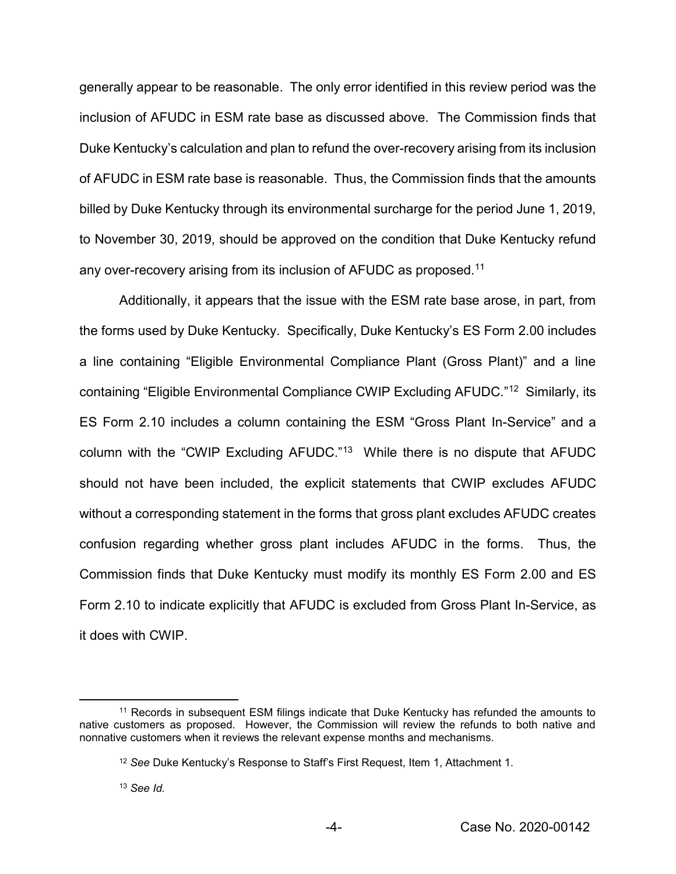generally appear to be reasonable. The only error identified in this review period was the inclusion of AFUDC in ESM rate base as discussed above. The Commission finds that Duke Kentucky's calculation and plan to refund the over-recovery arising from its inclusion of AFUDC in ESM rate base is reasonable. Thus, the Commission finds that the amounts billed by Duke Kentucky through its environmental surcharge for the period June 1, 2019, to November 30, 2019, should be approved on the condition that Duke Kentucky refund any over-recovery arising from its inclusion of AFUDC as proposed.<sup>11</sup>

Additionally, it appears that the issue with the ESM rate base arose, in part, from the forms used by Duke Kentucky. Specifically, Duke Kentucky's ES Form 2.00 includes a line containing "Eligible Environmental Compliance Plant (Gross Plant)" and a line containing "Eligible Environmental Compliance CWIP Excluding AFUDC."12 Similarly, its ES Form 2.10 includes a column containing the ESM "Gross Plant In-Service" and a column with the "CWIP Excluding AFUDC."13 While there is no dispute that AFUDC should not have been included, the explicit statements that CWIP excludes AFUDC without a corresponding statement in the forms that gross plant excludes AFUDC creates confusion regarding whether gross plant includes AFUDC in the forms. Thus, the Commission finds that Duke Kentucky must modify its monthly ES Form 2.00 and ES Form 2.10 to indicate explicitly that AFUDC is excluded from Gross Plant In-Service, as it does with CWIP.

<sup>&</sup>lt;sup>11</sup> Records in subsequent ESM filings indicate that Duke Kentucky has refunded the amounts to native customers as proposed. However, the Commission will review the refunds to both native and nonnative customers when it reviews the relevant expense months and mechanisms.

<sup>12</sup> *See* Duke Kentucky's Response to Staff's First Request, Item 1, Attachment 1.

<sup>13</sup> *See Id.*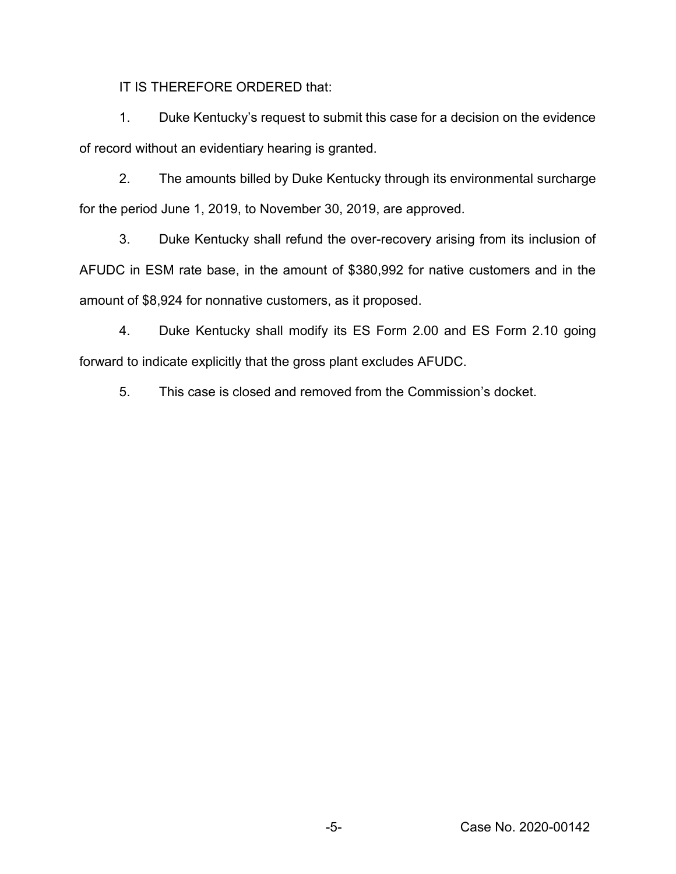IT IS THEREFORE ORDERED that:

1. Duke Kentucky's request to submit this case for a decision on the evidence of record without an evidentiary hearing is granted.

2. The amounts billed by Duke Kentucky through its environmental surcharge for the period June 1, 2019, to November 30, 2019, are approved.

3. Duke Kentucky shall refund the over-recovery arising from its inclusion of AFUDC in ESM rate base, in the amount of \$380,992 for native customers and in the amount of \$8,924 for nonnative customers, as it proposed.

4. Duke Kentucky shall modify its ES Form 2.00 and ES Form 2.10 going forward to indicate explicitly that the gross plant excludes AFUDC.

5. This case is closed and removed from the Commission's docket.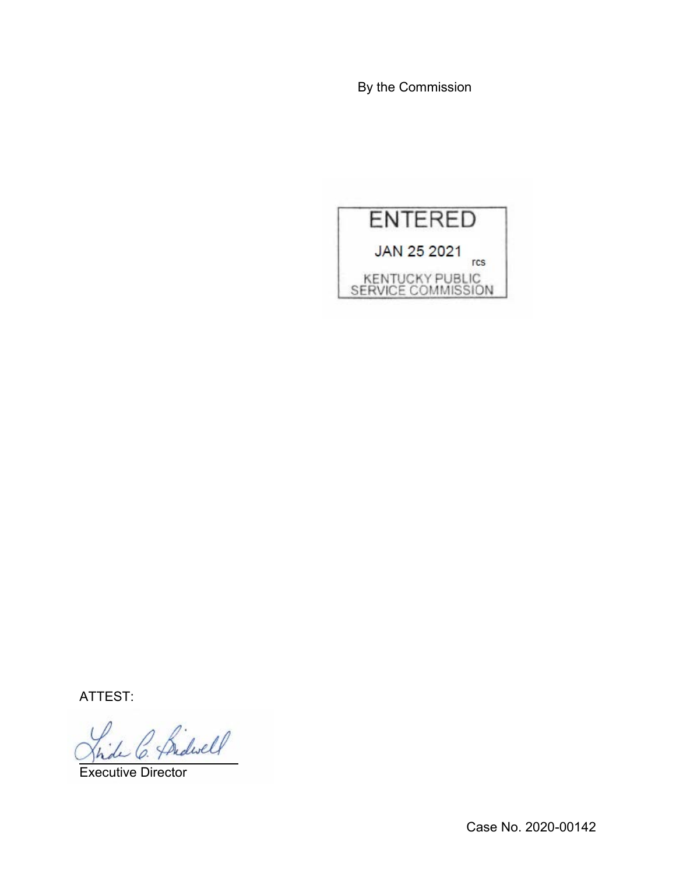By the Commission



ATTEST:

Bidwell

Executive Director

Case No. 2020-00142